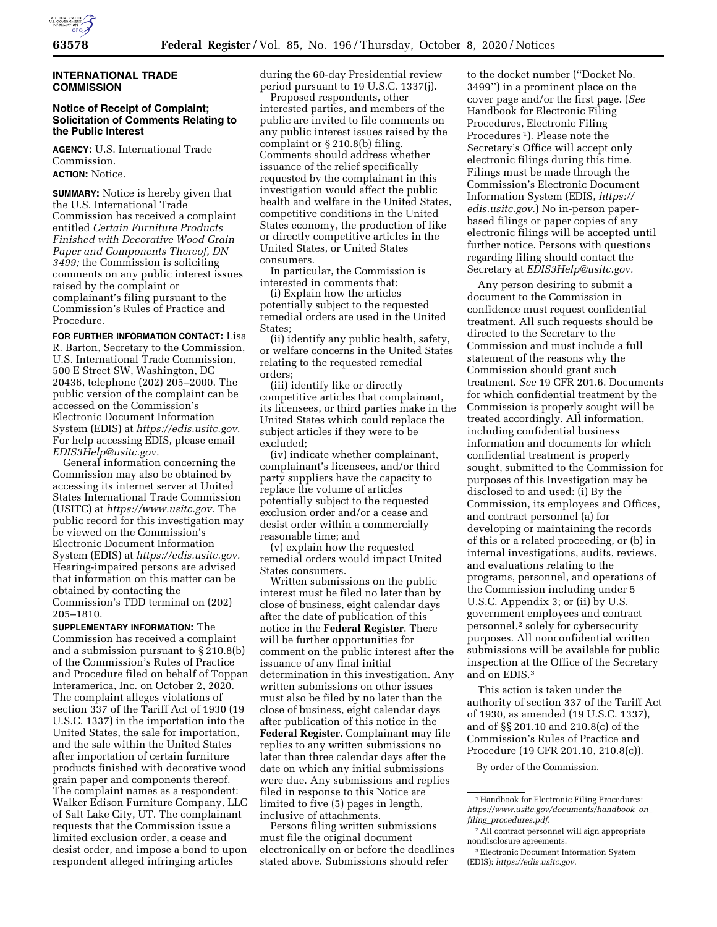

# **INTERNATIONAL TRADE COMMISSION**

## **Notice of Receipt of Complaint; Solicitation of Comments Relating to the Public Interest**

**AGENCY:** U.S. International Trade Commission. **ACTION:** Notice.

**SUMMARY:** Notice is hereby given that the U.S. International Trade Commission has received a complaint entitled *Certain Furniture Products Finished with Decorative Wood Grain Paper and Components Thereof, DN 3499;* the Commission is soliciting comments on any public interest issues raised by the complaint or complainant's filing pursuant to the Commission's Rules of Practice and Procedure.

**FOR FURTHER INFORMATION CONTACT:** Lisa R. Barton, Secretary to the Commission, U.S. International Trade Commission, 500 E Street SW, Washington, DC 20436, telephone (202) 205–2000. The public version of the complaint can be accessed on the Commission's Electronic Document Information System (EDIS) at *[https://edis.usitc.gov.](https://edis.usitc.gov)*  For help accessing EDIS, please email *[EDIS3Help@usitc.gov.](mailto:EDIS3Help@usitc.gov)* 

General information concerning the Commission may also be obtained by accessing its internet server at United States International Trade Commission (USITC) at *[https://www.usitc.gov.](https://www.usitc.gov)* The public record for this investigation may be viewed on the Commission's Electronic Document Information System (EDIS) at *[https://edis.usitc.gov.](https://edis.usitc.gov)*  Hearing-impaired persons are advised that information on this matter can be obtained by contacting the Commission's TDD terminal on (202) 205–1810.

**SUPPLEMENTARY INFORMATION:** The Commission has received a complaint and a submission pursuant to § 210.8(b) of the Commission's Rules of Practice and Procedure filed on behalf of Toppan Interamerica, Inc. on October 2, 2020. The complaint alleges violations of section 337 of the Tariff Act of 1930 (19 U.S.C. 1337) in the importation into the United States, the sale for importation, and the sale within the United States after importation of certain furniture products finished with decorative wood grain paper and components thereof. The complaint names as a respondent: Walker Edison Furniture Company, LLC of Salt Lake City, UT. The complainant requests that the Commission issue a limited exclusion order, a cease and desist order, and impose a bond to upon respondent alleged infringing articles

during the 60-day Presidential review period pursuant to 19 U.S.C. 1337(j).

Proposed respondents, other interested parties, and members of the public are invited to file comments on any public interest issues raised by the complaint or § 210.8(b) filing. Comments should address whether issuance of the relief specifically requested by the complainant in this investigation would affect the public health and welfare in the United States, competitive conditions in the United States economy, the production of like or directly competitive articles in the United States, or United States consumers.

In particular, the Commission is interested in comments that:

(i) Explain how the articles potentially subject to the requested remedial orders are used in the United States;

(ii) identify any public health, safety, or welfare concerns in the United States relating to the requested remedial orders;

(iii) identify like or directly competitive articles that complainant, its licensees, or third parties make in the United States which could replace the subject articles if they were to be excluded;

(iv) indicate whether complainant, complainant's licensees, and/or third party suppliers have the capacity to replace the volume of articles potentially subject to the requested exclusion order and/or a cease and desist order within a commercially reasonable time; and

(v) explain how the requested remedial orders would impact United States consumers.

Written submissions on the public interest must be filed no later than by close of business, eight calendar days after the date of publication of this notice in the **Federal Register**. There will be further opportunities for comment on the public interest after the issuance of any final initial determination in this investigation. Any written submissions on other issues must also be filed by no later than the close of business, eight calendar days after publication of this notice in the **Federal Register**. Complainant may file replies to any written submissions no later than three calendar days after the date on which any initial submissions were due. Any submissions and replies filed in response to this Notice are limited to five (5) pages in length, inclusive of attachments.

Persons filing written submissions must file the original document electronically on or before the deadlines stated above. Submissions should refer

to the docket number (''Docket No. 3499'') in a prominent place on the cover page and/or the first page. (*See*  Handbook for Electronic Filing Procedures, Electronic Filing Procedures 1). Please note the Secretary's Office will accept only electronic filings during this time. Filings must be made through the Commission's Electronic Document Information System (EDIS, *[https://](https://edis.usitc.gov) [edis.usitc.gov.](https://edis.usitc.gov)*) No in-person paperbased filings or paper copies of any electronic filings will be accepted until further notice. Persons with questions regarding filing should contact the Secretary at *[EDIS3Help@usitc.gov.](mailto:EDIS3Help@usitc.gov)* 

Any person desiring to submit a document to the Commission in confidence must request confidential treatment. All such requests should be directed to the Secretary to the Commission and must include a full statement of the reasons why the Commission should grant such treatment. *See* 19 CFR 201.6. Documents for which confidential treatment by the Commission is properly sought will be treated accordingly. All information, including confidential business information and documents for which confidential treatment is properly sought, submitted to the Commission for purposes of this Investigation may be disclosed to and used: (i) By the Commission, its employees and Offices, and contract personnel (a) for developing or maintaining the records of this or a related proceeding, or (b) in internal investigations, audits, reviews, and evaluations relating to the programs, personnel, and operations of the Commission including under 5 U.S.C. Appendix 3; or (ii) by U.S. government employees and contract personnel,2 solely for cybersecurity purposes. All nonconfidential written submissions will be available for public inspection at the Office of the Secretary and on EDIS.3

This action is taken under the authority of section 337 of the Tariff Act of 1930, as amended (19 U.S.C. 1337), and of §§ 201.10 and 210.8(c) of the Commission's Rules of Practice and Procedure (19 CFR 201.10, 210.8(c)).

By order of the Commission.

<sup>&</sup>lt;sup>1</sup> Handbook for Electronic Filing Procedures: *[https://www.usitc.gov/documents/handbook](https://www.usitc.gov/documents/handbook_on_filing_procedures.pdf)*\_*on*\_ *filing*\_*[procedures.pdf.](https://www.usitc.gov/documents/handbook_on_filing_procedures.pdf)* 

<sup>2</sup>All contract personnel will sign appropriate nondisclosure agreements.

<sup>3</sup>Electronic Document Information System (EDIS): *[https://edis.usitc.gov.](https://edis.usitc.gov)*